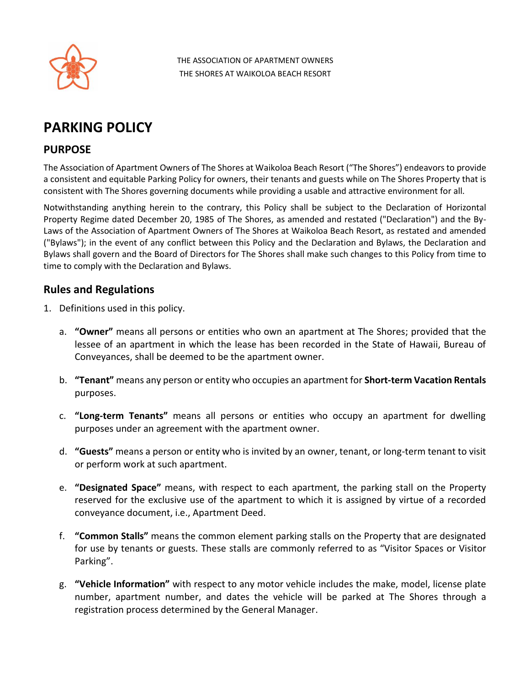

THE ASSOCIATION OF APARTMENT OWNERS THE SHORES AT WAIKOLOA BEACH RESORT

## **PARKING POLICY**

## **PURPOSE**

The Association of Apartment Owners of The Shores at Waikoloa Beach Resort ("The Shores") endeavors to provide a consistent and equitable Parking Policy for owners, their tenants and guests while on The Shores Property that is consistent with The Shores governing documents while providing a usable and attractive environment for all.

Notwithstanding anything herein to the contrary, this Policy shall be subject to the Declaration of Horizontal Property Regime dated December 20, 1985 of The Shores, as amended and restated ("Declaration") and the By-Laws of the Association of Apartment Owners of The Shores at Waikoloa Beach Resort, as restated and amended ("Bylaws"); in the event of any conflict between this Policy and the Declaration and Bylaws, the Declaration and Bylaws shall govern and the Board of Directors for The Shores shall make such changes to this Policy from time to time to comply with the Declaration and Bylaws.

## **Rules and Regulations**

- 1. Definitions used in this policy.
	- a. **"Owner"** means all persons or entities who own an apartment at The Shores; provided that the lessee of an apartment in which the lease has been recorded in the State of Hawaii, Bureau of Conveyances, shall be deemed to be the apartment owner.
	- b. **"Tenant"** means any person or entity who occupies an apartment for **Short-term Vacation Rentals** purposes.
	- c. **"Long-term Tenants"** means all persons or entities who occupy an apartment for dwelling purposes under an agreement with the apartment owner.
	- d. **"Guests"** means a person or entity who is invited by an owner, tenant, or long-term tenant to visit or perform work at such apartment.
	- e. **"Designated Space"** means, with respect to each apartment, the parking stall on the Property reserved for the exclusive use of the apartment to which it is assigned by virtue of a recorded conveyance document, i.e., Apartment Deed.
	- f. **"Common Stalls"** means the common element parking stalls on the Property that are designated for use by tenants or guests. These stalls are commonly referred to as "Visitor Spaces or Visitor Parking".
	- g. **"Vehicle Information"** with respect to any motor vehicle includes the make, model, license plate number, apartment number, and dates the vehicle will be parked at The Shores through a registration process determined by the General Manager.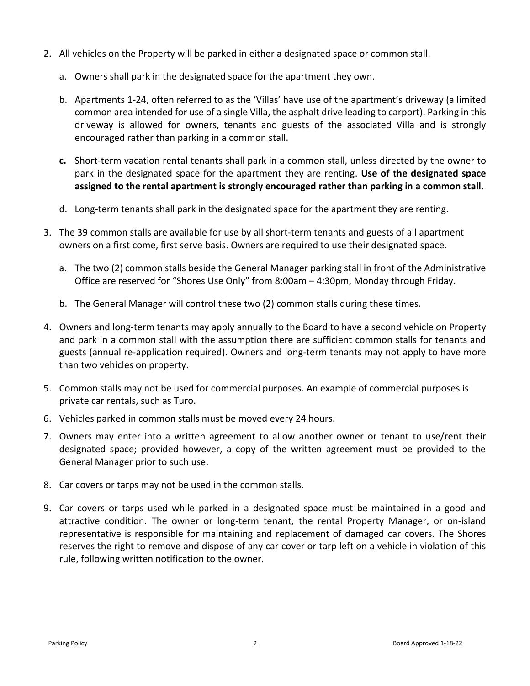- 2. All vehicles on the Property will be parked in either a designated space or common stall.
	- a. Owners shall park in the designated space for the apartment they own.
	- b. Apartments 1-24, often referred to as the 'Villas' have use of the apartment's driveway (a limited common area intended for use of a single Villa, the asphalt drive leading to carport). Parking in this driveway is allowed for owners, tenants and guests of the associated Villa and is strongly encouraged rather than parking in a common stall.
	- **c.** Short-term vacation rental tenants shall park in a common stall, unless directed by the owner to park in the designated space for the apartment they are renting. **Use of the designated space assigned to the rental apartment is strongly encouraged rather than parking in a common stall.**
	- d. Long-term tenants shall park in the designated space for the apartment they are renting.
- 3. The 39 common stalls are available for use by all short-term tenants and guests of all apartment owners on a first come, first serve basis. Owners are required to use their designated space.
	- a. The two (2) common stalls beside the General Manager parking stall in front of the Administrative Office are reserved for "Shores Use Only" from 8:00am – 4:30pm, Monday through Friday.
	- b. The General Manager will control these two (2) common stalls during these times.
- 4. Owners and long-term tenants may apply annually to the Board to have a second vehicle on Property and park in a common stall with the assumption there are sufficient common stalls for tenants and guests (annual re-application required). Owners and long-term tenants may not apply to have more than two vehicles on property.
- 5. Common stalls may not be used for commercial purposes. An example of commercial purposes is private car rentals, such as Turo.
- 6. Vehicles parked in common stalls must be moved every 24 hours.
- 7. Owners may enter into a written agreement to allow another owner or tenant to use/rent their designated space; provided however, a copy of the written agreement must be provided to the General Manager prior to such use.
- 8. Car covers or tarps may not be used in the common stalls.
- 9. Car covers or tarps used while parked in a designated space must be maintained in a good and attractive condition. The owner or long-term tenant*,* the rental Property Manager, or on-island representative is responsible for maintaining and replacement of damaged car covers. The Shores reserves the right to remove and dispose of any car cover or tarp left on a vehicle in violation of this rule, following written notification to the owner.